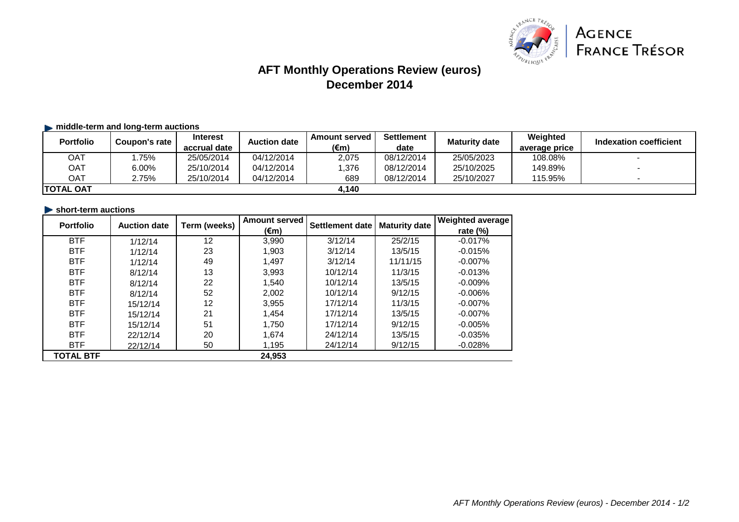

# **AFT Monthly Operations Review (euros) December 2014**

## $\blacktriangleright$  **middle-term and long-term auctions**

| <b>Portfolio</b>  | Coupon's rate | <b>Interest</b> | <b>Auction date</b> | <b>Amount served</b> | <b>Settlement</b> | <b>Maturity date</b> | Weighted      | Indexation coefficient |
|-------------------|---------------|-----------------|---------------------|----------------------|-------------------|----------------------|---------------|------------------------|
|                   |               | accrual date    |                     | (€m)                 | date              |                      | average price |                        |
| OAT               | .75%          | 25/05/2014      | 04/12/2014          | 2,075                | 08/12/2014        | 25/05/2023           | 108.08%       |                        |
| OAT               | $6.00\%$      | 25/10/2014      | 04/12/2014          | .376                 | 08/12/2014        | 25/10/2025           | 149.89%       |                        |
| OAT               | 2.75%         | 25/10/2014      | 04/12/2014          | 689                  | 08/12/2014        | 25/10/2027           | 115.95%       |                        |
| <b>ITOTAL OAT</b> |               |                 |                     | 4.140                |                   |                      |               |                        |

#### **short-term auctions**

| <b>Portfolio</b> | <b>Auction date</b> | Term (weeks) | <b>Amount served</b> | Settlement date | <b>Maturity date</b> | <b>Weighted average</b> |
|------------------|---------------------|--------------|----------------------|-----------------|----------------------|-------------------------|
|                  |                     |              | (€m)                 |                 |                      | rate $(\%)$             |
| <b>BTF</b>       | 1/12/14             | 12           | 3,990                | 3/12/14         | 25/2/15              | $-0.017%$               |
| <b>BTF</b>       | 1/12/14             | 23           | 1,903                | 3/12/14         | 13/5/15              | $-0.015%$               |
| <b>BTF</b>       | 1/12/14             | 49           | 1,497                | 3/12/14         | 11/11/15             | $-0.007%$               |
| <b>BTF</b>       | 8/12/14             | 13           | 3.993                | 10/12/14        | 11/3/15              | $-0.013%$               |
| <b>BTF</b>       | 8/12/14             | 22           | 1.540                | 10/12/14        | 13/5/15              | $-0.009%$               |
| <b>BTF</b>       | 8/12/14             | 52           | 2,002                | 10/12/14        | 9/12/15              | $-0.006\%$              |
| <b>BTF</b>       | 15/12/14            | 12           | 3,955                | 17/12/14        | 11/3/15              | $-0.007%$               |
| <b>BTF</b>       | 15/12/14            | 21           | 1.454                | 17/12/14        | 13/5/15              | $-0.007\%$              |
| <b>BTF</b>       | 15/12/14            | 51           | 1,750                | 17/12/14        | 9/12/15              | $-0.005%$               |
| <b>BTF</b>       | 22/12/14            | 20           | 1,674                | 24/12/14        | 13/5/15              | $-0.035%$               |
| <b>BTF</b>       | 22/12/14            | 50           | 1,195                | 24/12/14        | 9/12/15              | $-0.028%$               |
| <b>TOTAL BTF</b> |                     |              | 24.953               |                 |                      |                         |